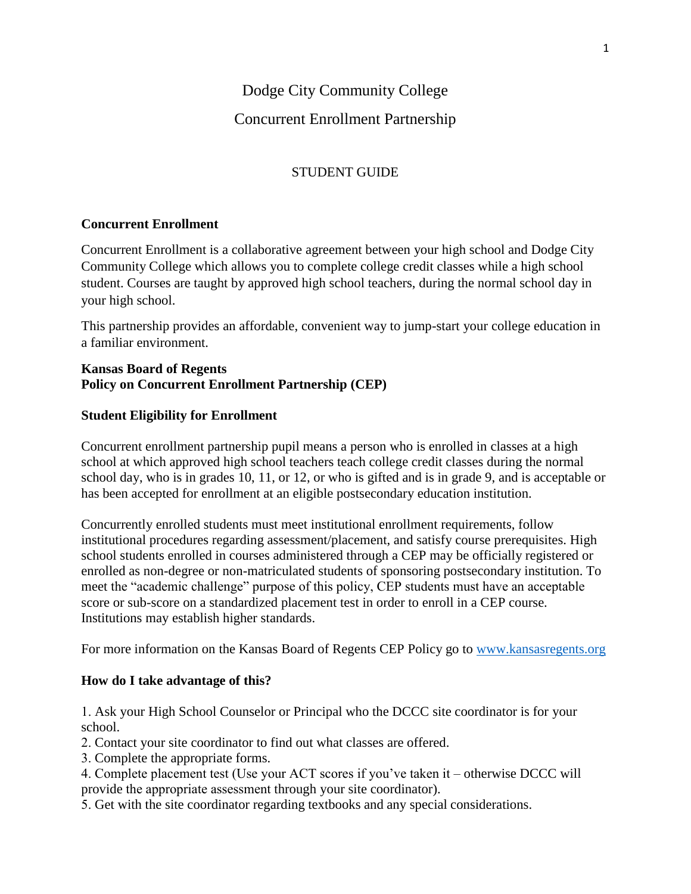# Concurrent Enrollment Partnership

## STUDENT GUIDE

### **Concurrent Enrollment**

Concurrent Enrollment is a collaborative agreement between your high school and Dodge City Community College which allows you to complete college credit classes while a high school student. Courses are taught by approved high school teachers, during the normal school day in your high school.

This partnership provides an affordable, convenient way to jump-start your college education in a familiar environment.

### **Kansas Board of Regents Policy on Concurrent Enrollment Partnership (CEP)**

## **Student Eligibility for Enrollment**

Concurrent enrollment partnership pupil means a person who is enrolled in classes at a high school at which approved high school teachers teach college credit classes during the normal school day, who is in grades 10, 11, or 12, or who is gifted and is in grade 9, and is acceptable or has been accepted for enrollment at an eligible postsecondary education institution.

Concurrently enrolled students must meet institutional enrollment requirements, follow institutional procedures regarding assessment/placement, and satisfy course prerequisites. High school students enrolled in courses administered through a CEP may be officially registered or enrolled as non-degree or non-matriculated students of sponsoring postsecondary institution. To meet the "academic challenge" purpose of this policy, CEP students must have an acceptable score or sub-score on a standardized placement test in order to enroll in a CEP course. Institutions may establish higher standards.

For more information on the Kansas Board of Regents CEP Policy go to [www.kansasregents.org](http://www.kansasregents.org/)

## **How do I take advantage of this?**

1. Ask your High School Counselor or Principal who the DCCC site coordinator is for your school.

- 2. Contact your site coordinator to find out what classes are offered.
- 3. Complete the appropriate forms.
- 4. Complete placement test (Use your ACT scores if you've taken it otherwise DCCC will provide the appropriate assessment through your site coordinator).
- 5. Get with the site coordinator regarding textbooks and any special considerations.